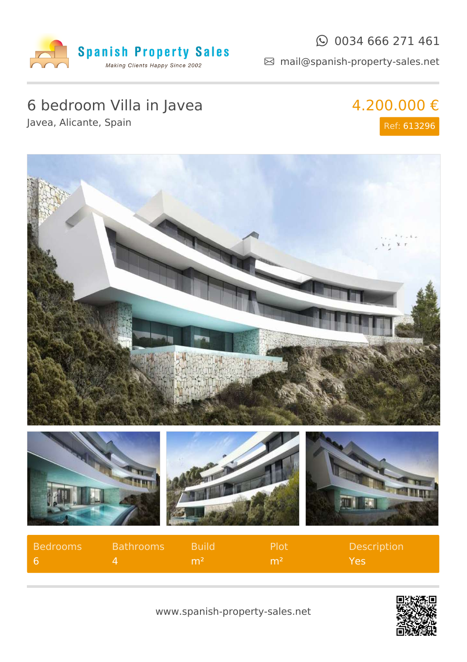

#### $\odot$  0034 666 271 461

mail@spanish-property-sales.net

## 6 bedroom Villa in Javea

Javea, Alicante, Spain

# 4.200.000 €

Ref: 613296





www.spanish-property-sales.net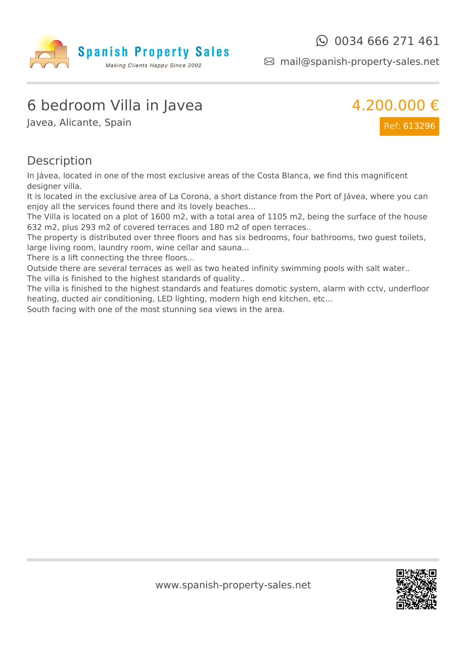

mail@spanish-property-sales.net

### 6 bedroom Villa in Javea

Javea, Alicante, Spain



#### **Description**

In Jávea, located in one of the most exclusive areas of the Costa Blanca, we find this magnificent designer villa.

It is located in the exclusive area of La Corona, a short distance from the Port of Jávea, where you can enjoy all the services found there and its lovely beaches...

The Villa is located on a plot of 1600 m2, with a total area of 1105 m2, being the surface of the house 632 m2, plus 293 m2 of covered terraces and 180 m2 of open terraces..

The property is distributed over three floors and has six bedrooms, four bathrooms, two guest toilets, large living room, laundry room, wine cellar and sauna...

There is a lift connecting the three floors...

Outside there are several terraces as well as two heated infinity swimming pools with salt water.. The villa is finished to the highest standards of quality..

The villa is finished to the highest standards and features domotic system, alarm with cctv, underfloor heating, ducted air conditioning, LED lighting, modern high end kitchen, etc...

South facing with one of the most stunning sea views in the area.